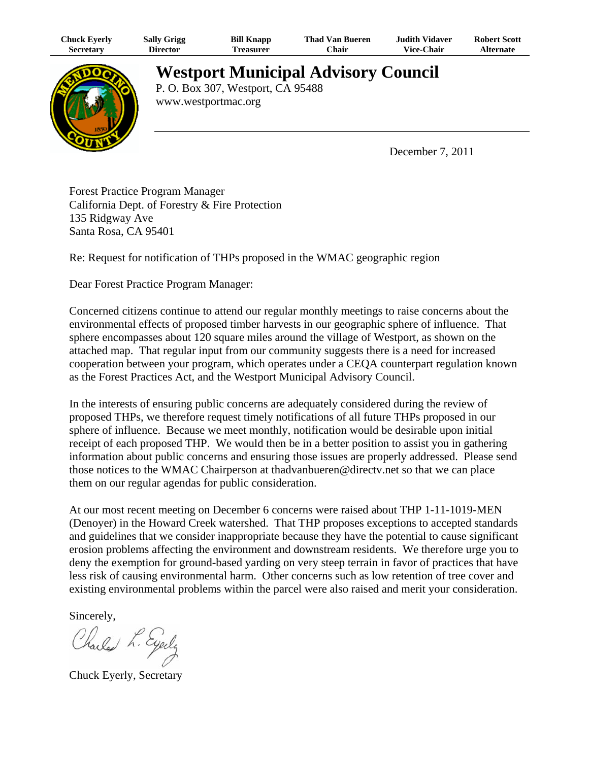| Chuck Eyerly     | Sally Grigg     | <b>Bill Knapp</b> | <b>Thad Van Bueren</b> | <b>Judith Vidaver</b> | <b>Robert Scott</b> |
|------------------|-----------------|-------------------|------------------------|-----------------------|---------------------|
| <b>Secretary</b> | <b>Director</b> | l'reasurer        | ′′hair                 | <b>Vice-Chair</b>     | Alternate           |



**Westport Municipal Advisory Council** P. O. Box 307, Westport, CA 95488

www.westportmac.org

December 7, 2011

Forest Practice Program Manager California Dept. of Forestry & Fire Protection 135 Ridgway Ave Santa Rosa, CA 95401

Re: Request for notification of THPs proposed in the WMAC geographic region

Dear Forest Practice Program Manager:

Concerned citizens continue to attend our regular monthly meetings to raise concerns about the environmental effects of proposed timber harvests in our geographic sphere of influence. That sphere encompasses about 120 square miles around the village of Westport, as shown on the attached map. That regular input from our community suggests there is a need for increased cooperation between your program, which operates under a CEQA counterpart regulation known as the Forest Practices Act, and the Westport Municipal Advisory Council.

In the interests of ensuring public concerns are adequately considered during the review of proposed THPs, we therefore request timely notifications of all future THPs proposed in our sphere of influence. Because we meet monthly, notification would be desirable upon initial receipt of each proposed THP. We would then be in a better position to assist you in gathering information about public concerns and ensuring those issues are properly addressed. Please send those notices to the WMAC Chairperson at thadvanbueren@directv.net so that we can place them on our regular agendas for public consideration.

At our most recent meeting on December 6 concerns were raised about THP 1-11-1019-MEN (Denoyer) in the Howard Creek watershed. That THP proposes exceptions to accepted standards and guidelines that we consider inappropriate because they have the potential to cause significant erosion problems affecting the environment and downstream residents. We therefore urge you to deny the exemption for ground-based yarding on very steep terrain in favor of practices that have less risk of causing environmental harm. Other concerns such as low retention of tree cover and existing environmental problems within the parcel were also raised and merit your consideration.

Sincerely,

Charles L. Eyerly

Chuck Eyerly, Secretary